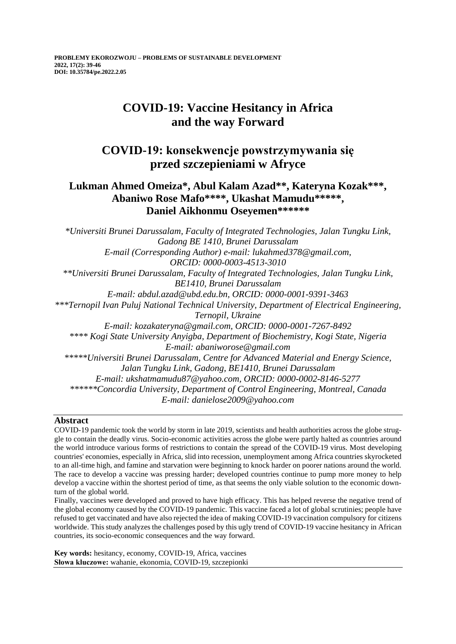# **COVID-19: Vaccine Hesitancy in Africa and the way Forward**

## **COVID-19: konsekwencje powstrzymywania się przed szczepieniami w Afryce**

### **Lukman Ahmed Omeiza\*, Abul Kalam Azad\*\*, Kateryna Kozak\*\*\*, Abaniwo Rose Mafo\*\*\*\*, Ukashat Mamudu\*\*\*\*\*, Daniel Aikhonmu Oseyemen\*\*\*\*\*\***

*\*Universiti Brunei Darussalam, Faculty of Integrated Technologies, Jalan Tungku Link, Gadong BE 1410, Brunei Darussalam E-mail (Corresponding Author) e-mail: lukahmed378@gmail.com, ORCID: 0000-0003-4513-3010 \*\*Universiti Brunei Darussalam, Faculty of Integrated Technologies, Jalan Tungku Link, BE1410, Brunei Darussalam E-mail: abdul.azad@ubd.edu.bn, ORCID: 0000-0001-9391-3463 \*\*\*Ternopil Ivan Puluj National Technical University, Department of Electrical Engineering, Ternopil, Ukraine E-mail: kozakateryna@gmail.com, ORCID: 0000-0001-7267-8492 \*\*\*\* Kogi State University Anyigba, Department of Biochemistry, Kogi State, Nigeria E-mail: abaniworose@gmail.com \*\*\*\*\*Universiti Brunei Darussalam, Centre for Advanced Material and Energy Science, Jalan Tungku Link, Gadong, BE1410, Brunei Darussalam E-mail: ukshatmamudu87@yahoo.com, ORCID: 0000-0002-8146-5277 \*\*\*\*\*\*Concordia University, Department of Control Engineering, Montreal, Canada E-mail: danielose2009@yahoo.com*

### **Abstract**

COVID-19 pandemic took the world by storm in late 2019, scientists and health authorities across the globe struggle to contain the deadly virus. Socio-economic activities across the globe were partly halted as countries around the world introduce various forms of restrictions to contain the spread of the COVID-19 virus. Most developing countries' economies, especially in Africa, slid into recession, unemployment among Africa countries skyrocketed to an all-time high, and famine and starvation were beginning to knock harder on poorer nations around the world. The race to develop a vaccine was pressing harder; developed countries continue to pump more money to help develop a vaccine within the shortest period of time, as that seems the only viable solution to the economic downturn of the global world.

Finally, vaccines were developed and proved to have high efficacy. This has helped reverse the negative trend of the global economy caused by the COVID-19 pandemic. This vaccine faced a lot of global scrutinies; people have refused to get vaccinated and have also rejected the idea of making COVID-19 vaccination compulsory for citizens worldwide. This study analyzes the challenges posed by this ugly trend of COVID-19 vaccine hesitancy in African countries, its socio-economic consequences and the way forward.

**Key words:** hesitancy, economy, COVID-19, Africa, vaccines **Słowa kluczowe:** wahanie, ekonomia, COVID-19, szczepionki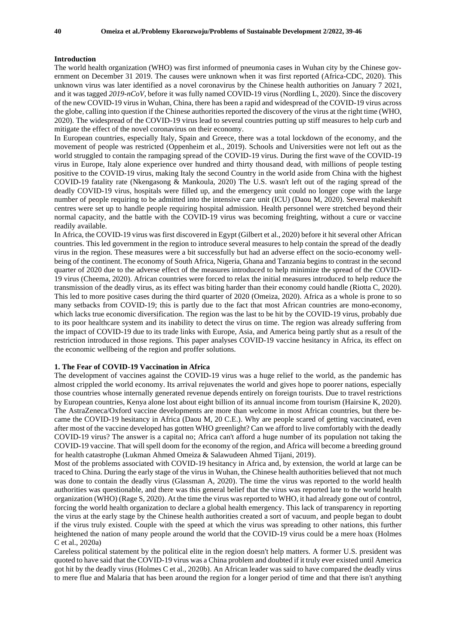#### **Introduction**

The world health organization (WHO) was first informed of pneumonia cases in Wuhan city by the Chinese government on December 31 2019. The causes were unknown when it was first reported (Africa-CDC, 2020). This unknown virus was later identified as a novel coronavirus by the Chinese health authorities on January 7 2021, and it was tagged *2019-nCoV*, before it was fully named COVID-19 virus (Nordling L, 2020). Since the discovery of the new COVID-19 virus in Wuhan, China, there has been a rapid and widespread of the COVID-19 virus across the globe, calling into question if the Chinese authorities reported the discovery of the virus at the right time (WHO, 2020). The widespread of the COVID-19 virus lead to several countries putting up stiff measures to help curb and mitigate the effect of the novel coronavirus on their economy.

In European countries, especially Italy, Spain and Greece, there was a total lockdown of the economy, and the movement of people was restricted (Oppenheim et al., 2019). Schools and Universities were not left out as the world struggled to contain the rampaging spread of the COVID-19 virus. During the first wave of the COVID-19 virus in Europe, Italy alone experience over hundred and thirty thousand dead, with millions of people testing positive to the COVID-19 virus, making Italy the second Country in the world aside from China with the highest COVID-19 fatality rate (Nkengasong & Mankoula, 2020) The U.S. wasn't left out of the raging spread of the deadly COVID-19 virus, hospitals were filled up, and the emergency unit could no longer cope with the large number of people requiring to be admitted into the intensive care unit (ICU) (Daou M, 2020). Several makeshift centres were set up to handle people requiring hospital admission. Health personnel were stretched beyond their normal capacity, and the battle with the COVID-19 virus was becoming freighting, without a cure or vaccine readily available.

In Africa, the COVID-19 virus was first discovered in Egypt (Gilbert et al., 2020) before it hit several other African countries. This led government in the region to introduce several measures to help contain the spread of the deadly virus in the region. These measures were a bit successfully but had an adverse effect on the socio-economy wellbeing of the continent. The economy of South Africa, Nigeria, Ghana and Tanzania begins to contrast in the second quarter of 2020 due to the adverse effect of the measures introduced to help minimize the spread of the COVID-19 virus (Cheema, 2020). African countries were forced to relax the initial measures introduced to help reduce the transmission of the deadly virus, as its effect was biting harder than their economy could handle (Riotta C, 2020). This led to more positive cases during the third quarter of 2020 (Omeiza, 2020). Africa as a whole is prone to so many setbacks from COVID-19; this is partly due to the fact that most African countries are mono-economy, which lacks true economic diversification. The region was the last to be hit by the COVID-19 virus, probably due to its poor healthcare system and its inability to detect the virus on time. The region was already suffering from the impact of COVID-19 due to its trade links with Europe, Asia, and America being partly shut as a result of the restriction introduced in those regions. This paper analyses COVID-19 vaccine hesitancy in Africa, its effect on the economic wellbeing of the region and proffer solutions.

#### **1. The Fear of COVID-19 Vaccination in Africa**

The development of vaccines against the COVID-19 virus was a huge relief to the world, as the pandemic has almost crippled the world economy. Its arrival rejuvenates the world and gives hope to poorer nations, especially those countries whose internally generated revenue depends entirely on foreign tourists. Due to travel restrictions by European countries, Kenya alone lost about eight billion of its annual income from tourism (Hairsine K, 2020). The AstraZeneca/Oxford vaccine developments are more than welcome in most African countries, but there became the COVID-19 hesitancy in Africa (Daou M, 20 C.E.). Why are people scared of getting vaccinated, even after most of the vaccine developed has gotten WHO greenlight? Can we afford to live comfortably with the deadly COVID-19 virus? The answer is a capital no; Africa can't afford a huge number of its population not taking the COVID-19 vaccine. That will spell doom for the economy of the region, and Africa will become a breeding ground for health catastrophe (Lukman Ahmed Omeiza & Salawudeen Ahmed Tijani, 2019).

Most of the problems associated with COVID-19 hesitancy in Africa and, by extension, the world at large can be traced to China. During the early stage of the virus in Wuhan, the Chinese health authorities believed that not much was done to contain the deadly virus (Glassman A, 2020). The time the virus was reported to the world health authorities was questionable, and there was this general belief that the virus was reported late to the world health organization (WHO) (Rage S, 2020). At the time the virus was reported to WHO, it had already gone out of control, forcing the world health organization to declare a global health emergency. This lack of transparency in reporting the virus at the early stage by the Chinese health authorities created a sort of vacuum, and people began to doubt if the virus truly existed. Couple with the speed at which the virus was spreading to other nations, this further heightened the nation of many people around the world that the COVID-19 virus could be a mere hoax (Holmes C et al., 2020a)

Careless political statement by the political elite in the region doesn't help matters. A former U.S. president was quoted to have said that the COVID-19 virus was a China problem and doubted if it truly ever existed until America got hit by the deadly virus (Holmes C et al., 2020b). An African leader was said to have compared the deadly virus to mere flue and Malaria that has been around the region for a longer period of time and that there isn't anything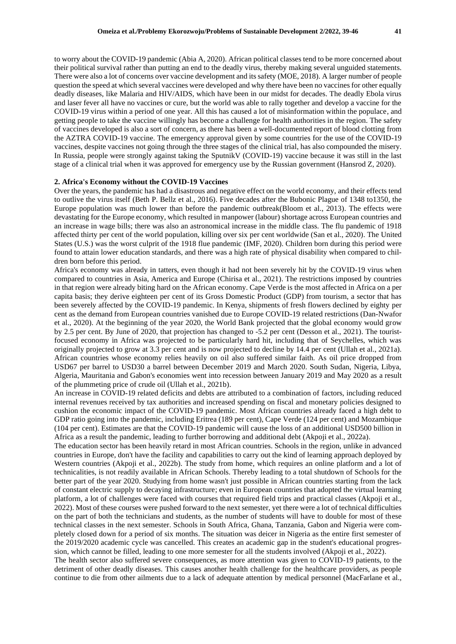to worry about the COVID-19 pandemic (Abia A, 2020). African political classes tend to be more concerned about their political survival rather than putting an end to the deadly virus, thereby making several unguided statements. There were also a lot of concerns over vaccine development and its safety (MOE, 2018). A larger number of people question the speed at which several vaccines were developed and why there have been no vaccines for other equally deadly diseases, like Malaria and HIV/AIDS, which have been in our midst for decades. The deadly Ebola virus and laser fever all have no vaccines or cure, but the world was able to rally together and develop a vaccine for the COVID-19 virus within a period of one year. All this has caused a lot of misinformation within the populace, and getting people to take the vaccine willingly has become a challenge for health authorities in the region. The safety of vaccines developed is also a sort of concern, as there has been a well-documented report of blood clotting from the AZTRA COVID-19 vaccine. The emergency approval given by some countries for the use of the COVID-19 vaccines, despite vaccines not going through the three stages of the clinical trial, has also compounded the misery. In Russia, people were strongly against taking the SputnikV (COVID-19) vaccine because it was still in the last stage of a clinical trial when it was approved for emergency use by the Russian government (Hansrod Z, 2020).

#### **2. Africa's Economy without the COVID-19 Vaccines**

Over the years, the pandemic has had a disastrous and negative effect on the world economy, and their effects tend to outlive the virus itself (Beth P. Bellz et al., 2016). Five decades after the Bubonic Plague of 1348 to1350, the Europe population was much lower than before the pandemic outbreak(Bloom et al., 2013). The effects were devastating for the Europe economy, which resulted in manpower (labour) shortage across European countries and an increase in wage bills; there was also an astronomical increase in the middle class. The flu pandemic of 1918 affected thirty per cent of the world population, killing over six per cent worldwide (San et al., 2020). The United States (U.S.) was the worst culprit of the 1918 flue pandemic (IMF, 2020). Children born during this period were found to attain lower education standards, and there was a high rate of physical disability when compared to children born before this period.

Africa's economy was already in tatters, even though it had not been severely hit by the COVID-19 virus when compared to countries in Asia, America and Europe (Chirisa et al., 2021). The restrictions imposed by countries in that region were already biting hard on the African economy. Cape Verde is the most affected in Africa on a per capita basis; they derive eighteen per cent of its Gross Domestic Product (GDP) from tourism, a sector that has been severely affected by the COVID-19 pandemic. In Kenya, shipments of fresh flowers declined by eighty per cent as the demand from European countries vanished due to Europe COVID-19 related restrictions (Dan-Nwafor et al., 2020). At the beginning of the year 2020, the World Bank projected that the global economy would grow by 2.5 per cent. By June of 2020, that projection has changed to -5.2 per cent (Desson et al., 2021). The touristfocused economy in Africa was projected to be particularly hard hit, including that of Seychelles, which was originally projected to grow at 3.3 per cent and is now projected to decline by 14.4 per cent (Ullah et al., 2021a). African countries whose economy relies heavily on oil also suffered similar faith. As oil price dropped from USD67 per barrel to USD30 a barrel between December 2019 and March 2020. South Sudan, Nigeria, Libya, Algeria, Mauritania and Gabon's economies went into recession between January 2019 and May 2020 as a result of the plummeting price of crude oil (Ullah et al., 2021b).

An increase in COVID-19 related deficits and debts are attributed to a combination of factors, including reduced internal revenues received by tax authorities and increased spending on fiscal and monetary policies designed to cushion the economic impact of the COVID-19 pandemic. Most African countries already faced a high debt to GDP ratio going into the pandemic, including Eritrea (189 per cent), Cape Verde (124 per cent) and Mozambique (104 per cent). Estimates are that the COVID-19 pandemic will cause the loss of an additional USD500 billion in Africa as a result the pandemic, leading to further borrowing and additional debt (Akpoji et al., 2022a).

The education sector has been heavily retard in most African countries. Schools in the region, unlike in advanced countries in Europe, don't have the facility and capabilities to carry out the kind of learning approach deployed by Western countries (Akpoji et al., 2022b). The study from home, which requires an online platform and a lot of technicalities, is not readily available in African Schools. Thereby leading to a total shutdown of Schools for the better part of the year 2020. Studying from home wasn't just possible in African countries starting from the lack of constant electric supply to decaying infrastructure; even in European countries that adopted the virtual learning platform, a lot of challenges were faced with courses that required field trips and practical classes (Akpoji et al., 2022). Most of these courses were pushed forward to the next semester, yet there were a lot of technical difficulties on the part of both the technicians and students, as the number of students will have to double for most of these technical classes in the next semester. Schools in South Africa, Ghana, Tanzania, Gabon and Nigeria were completely closed down for a period of six months. The situation was deicer in Nigeria as the entire first semester of the 2019/2020 academic cycle was cancelled. This creates an academic gap in the student's educational progression, which cannot be filled, leading to one more semester for all the students involved (Akpoji et al., 2022).

The health sector also suffered severe consequences, as more attention was given to COVID-19 patients, to the detriment of other deadly diseases. This causes another health challenge for the healthcare providers, as people continue to die from other ailments due to a lack of adequate attention by medical personnel (MacFarlane et al.,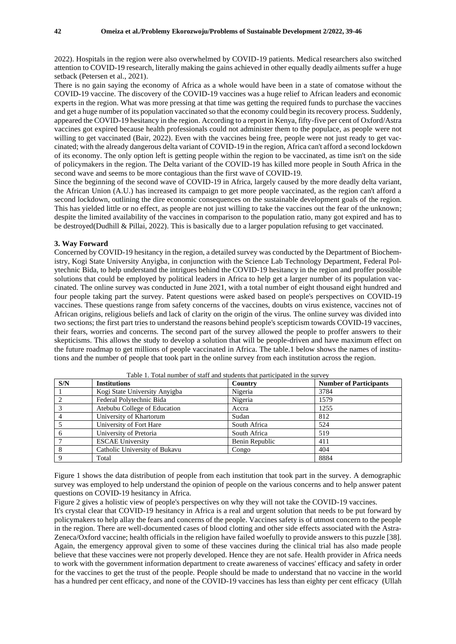2022). Hospitals in the region were also overwhelmed by COVID-19 patients. Medical researchers also switched attention to COVID-19 research, literally making the gains achieved in other equally deadly ailments suffer a huge setback (Petersen et al., 2021).

There is no gain saying the economy of Africa as a whole would have been in a state of comatose without the COVID-19 vaccine. The discovery of the COVID-19 vaccines was a huge relief to African leaders and economic experts in the region. What was more pressing at that time was getting the required funds to purchase the vaccines and get a huge number of its population vaccinated so that the economy could begin its recovery process. Suddenly, appeared the COVID-19 hesitancy in the region. According to a report in Kenya, fifty-five per cent of Oxford/Astra vaccines got expired because health professionals could not administer them to the populace, as people were not willing to get vaccinated (Bair, 2022). Even with the vaccines being free, people were not just ready to get vaccinated; with the already dangerous delta variant of COVID-19 in the region, Africa can't afford a second lockdown of its economy. The only option left is getting people within the region to be vaccinated, as time isn't on the side of policymakers in the region. The Delta variant of the COVID-19 has killed more people in South Africa in the second wave and seems to be more contagious than the first wave of COVID-19.

Since the beginning of the second wave of COVID-19 in Africa, largely caused by the more deadly delta variant, the African Union (A.U.) has increased its campaign to get more people vaccinated, as the region can't afford a second lockdown, outlining the dire economic consequences on the sustainable development goals of the region. This has yielded little or no effect, as people are not just willing to take the vaccines out the fear of the unknown; despite the limited availability of the vaccines in comparison to the population ratio, many got expired and has to be destroyed(Dudhill & Pillai, 2022). This is basically due to a larger population refusing to get vaccinated.

#### **3. Way Forward**

Concerned by COVID-19 hesitancy in the region, a detailed survey was conducted by the Department of Biochemistry, Kogi State University Anyigba, in conjunction with the Science Lab Technology Department, Federal Polytechnic Bida, to help understand the intrigues behind the COVID-19 hesitancy in the region and proffer possible solutions that could be employed by political leaders in Africa to help get a larger number of its population vaccinated. The online survey was conducted in June 2021, with a total number of eight thousand eight hundred and four people taking part the survey. Patent questions were asked based on people's perspectives on COVID-19 vaccines. These questions range from safety concerns of the vaccines, doubts on virus existence, vaccines not of African origins, religious beliefs and lack of clarity on the origin of the virus. The online survey was divided into two sections; the first part tries to understand the reasons behind people's scepticism towards COVID-19 vaccines, their fears, worries and concerns. The second part of the survey allowed the people to proffer answers to their skepticisms. This allows the study to develop a solution that will be people-driven and have maximum effect on the future roadmap to get millions of people vaccinated in Africa. The table.1 below shows the names of institutions and the number of people that took part in the online survey from each institution across the region.

| S/N | <b>Institutions</b>           | woit it i oval hemiloti ol ovali anew ovalveneo diave palerbarte in vite ovi 17 t<br>Country | <b>Number of Participants</b> |
|-----|-------------------------------|----------------------------------------------------------------------------------------------|-------------------------------|
|     |                               |                                                                                              |                               |
|     | Kogi State University Anyigba | Nigeria                                                                                      | 3784                          |
|     | Federal Polytechnic Bida      | Nigeria                                                                                      | 1579                          |
|     | Atebubu College of Education  | Accra                                                                                        | 1255                          |
|     | University of Khartorum       | Sudan                                                                                        | 812                           |
|     | University of Fort Hare       | South Africa                                                                                 | 524                           |
|     | University of Pretoria        | South Africa                                                                                 | 519                           |
|     | <b>ESCAE University</b>       | Benin Republic                                                                               | 411                           |
|     | Catholic University of Bukavu | Congo                                                                                        | 404                           |
|     | Total                         |                                                                                              | 8884                          |

Table 1. Total number of staff and students that participated in the survey

Figure 1 shows the data distribution of people from each institution that took part in the survey. A demographic survey was employed to help understand the opinion of people on the various concerns and to help answer patent questions on COVID-19 hesitancy in Africa.

Figure 2 gives a holistic view of people's perspectives on why they will not take the COVID-19 vaccines.

It's crystal clear that COVID-19 hesitancy in Africa is a real and urgent solution that needs to be put forward by policymakers to help allay the fears and concerns of the people. Vaccines safety is of utmost concern to the people in the region. There are well-documented cases of blood clotting and other side effects associated with the Astra-Zeneca/Oxford vaccine; health officials in the religion have failed woefully to provide answers to this puzzle [38]. Again, the emergency approval given to some of these vaccines during the clinical trial has also made people believe that these vaccines were not properly developed. Hence they are not safe. Health provider in Africa needs to work with the government information department to create awareness of vaccines' efficacy and safety in order for the vaccines to get the trust of the people. People should be made to understand that no vaccine in the world has a hundred per cent efficacy, and none of the COVID-19 vaccines has less than eighty per cent efficacy (Ullah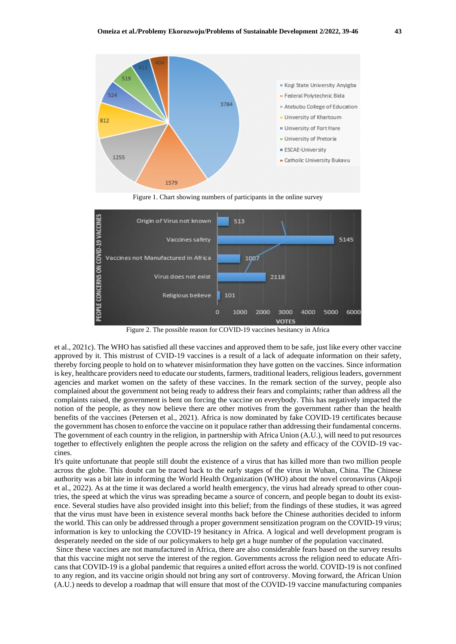

Figure 1. Chart showing numbers of participants in the online survey



Figure 2. The possible reason for COVID-19 vaccines hesitancy in Africa

et al., 2021c). The WHO has satisfied all these vaccines and approved them to be safe, just like every other vaccine approved by it. This mistrust of CVID-19 vaccines is a result of a lack of adequate information on their safety, thereby forcing people to hold on to whatever misinformation they have gotten on the vaccines. Since information is key, healthcare providers need to educate our students, farmers, traditional leaders, religious leaders, government agencies and market women on the safety of these vaccines. In the remark section of the survey, people also complained about the government not being ready to address their fears and complaints; rather than address all the complaints raised, the government is bent on forcing the vaccine on everybody. This has negatively impacted the notion of the people, as they now believe there are other motives from the government rather than the health benefits of the vaccines (Petersen et al., 2021). Africa is now dominated by fake COVID-19 certificates because the government has chosen to enforce the vaccine on it populace rather than addressing their fundamental concerns. The government of each country in the religion, in partnership with Africa Union (A.U.), will need to put resources together to effectively enlighten the people across the religion on the safety and efficacy of the COVID-19 vaccines.

It's quite unfortunate that people still doubt the existence of a virus that has killed more than two million people across the globe. This doubt can be traced back to the early stages of the virus in Wuhan, China. The Chinese authority was a bit late in informing the World Health Organization (WHO) about the novel coronavirus (Akpoji et al., 2022). As at the time it was declared a world health emergency, the virus had already spread to other countries, the speed at which the virus was spreading became a source of concern, and people began to doubt its existence. Several studies have also provided insight into this belief; from the findings of these studies, it was agreed that the virus must have been in existence several months back before the Chinese authorities decided to inform the world. This can only be addressed through a proper government sensitization program on the COVID-19 virus; information is key to unlocking the COVID-19 hesitancy in Africa. A logical and well development program is desperately needed on the side of our policymakers to help get a huge number of the population vaccinated.

Since these vaccines are not manufactured in Africa, there are also considerable fears based on the survey results that this vaccine might not serve the interest of the region. Governments across the religion need to educate Africans that COVID-19 is a global pandemic that requires a united effort across the world. COVID-19 is not confined to any region, and its vaccine origin should not bring any sort of controversy. Moving forward, the African Union (A.U.) needs to develop a roadmap that will ensure that most of the COVID-19 vaccine manufacturing companies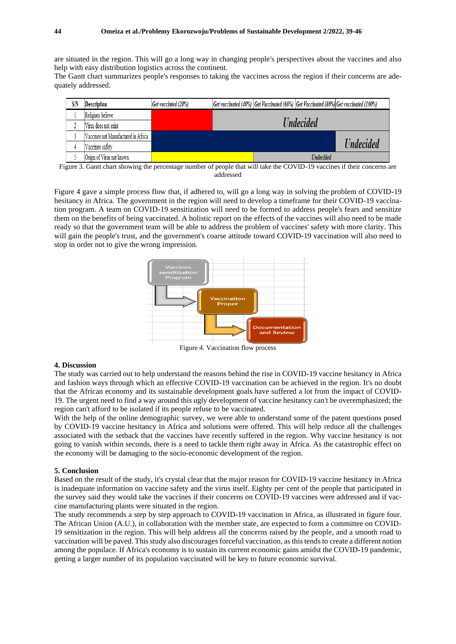are situated in the region. This will go a long way in changing people's perspectives about the vaccines and also help with easy distribution logistics across the continent.

The Gantt chart summarizes people's responses to taking the vaccines across the region if their concerns are adequately addressed.

| <b>S/N</b> | Description                         | Get vaccinted (20%) |                                |  |                  | Get vaccinated (40%) Get Vaccinated (60%) Get Vaccinated (80%) Get vaccinated (100%) |
|------------|-------------------------------------|---------------------|--------------------------------|--|------------------|--------------------------------------------------------------------------------------|
|            | Religious believe                   |                     |                                |  |                  |                                                                                      |
|            | Virus does not exist                |                     | <b><i><u>Undecided</u></i></b> |  |                  |                                                                                      |
|            | Vaccines not Manufactured in Africa |                     |                                |  |                  |                                                                                      |
|            | Vaccines safety                     |                     |                                |  |                  | <b><i><u>Undecided</u></i></b>                                                       |
|            | Origin of Virus not known           |                     |                                |  | <b>Undecided</b> |                                                                                      |

Figure 3. Gantt chart showing the percentage number of people that will take the COVID-19 vaccines if their concerns are addressed

Figure 4 gave a simple process flow that, if adhered to, will go a long way in solving the problem of COVID-19 hesitancy in Africa. The government in the region will need to develop a timeframe for their COVID-19 vaccination program. A team on COVID-19 sensitization will need to be formed to address people's fears and sensitize them on the benefits of being vaccinated. A holistic report on the effects of the vaccines will also need to be made ready so that the government team will be able to address the problem of vaccines' safety with more clarity. This will gain the people's trust, and the government's coarse attitude toward COVID-19 vaccination will also need to stop in order not to give the wrong impression.



Figure 4. Vaccination flow process

#### **4. Discussion**

The study was carried out to help understand the reasons behind the rise in COVID-19 vaccine hesitancy in Africa and fashion ways through which an effective COVID-19 vaccination can be achieved in the region. It's no doubt that the African economy and its sustainable development goals have suffered a lot from the impact of COVID-19. The urgent need to find a way around this ugly development of vaccine hesitancy can't be overemphasized; the region can't afford to be isolated if its people refuse to be vaccinated.

With the help of the online demographic survey, we were able to understand some of the patent questions posed by COVID-19 vaccine hesitancy in Africa and solutions were offered. This will help reduce all the challenges associated with the setback that the vaccines have recently suffered in the region. Why vaccine hesitancy is not going to vanish within seconds, there is a need to tackle them right away in Africa. As the catastrophic effect on the economy will be damaging to the socio-economic development of the region.

#### **5. Conclusion**

Based on the result of the study, it's crystal clear that the major reason for COVID-19 vaccine hesitancy in Africa is inadequate information on vaccine safety and the virus itself. Eighty per cent of the people that participated in the survey said they would take the vaccines if their concerns on COVID-19 vaccines were addressed and if vaccine manufacturing plants were situated in the region.

The study recommends a step by step approach to COVID-19 vaccination in Africa, as illustrated in figure four. The African Union (A.U.), in collaboration with the member state, are expected to form a committee on COVID-19 sensitization in the region. This will help address all the concerns raised by the people, and a smooth road to vaccination will be paved. This study also discourages forceful vaccination, as this tends to create a different notion among the populace. If Africa's economy is to sustain its current economic gains amidst the COVID-19 pandemic, getting a larger number of its population vaccinated will be key to future economic survival.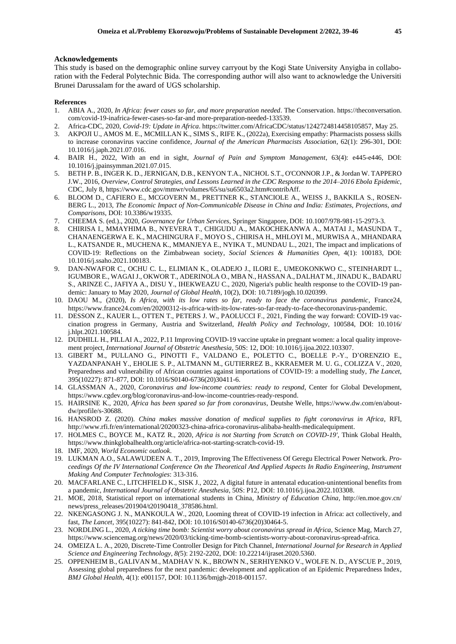#### **Acknowledgements**

This study is based on the demographic online survey carryout by the Kogi State University Anyigba in collaboration with the Federal Polytechnic Bida. The corresponding author will also want to acknowledge the Universiti Brunei Darussalam for the award of UGS scholarship.

#### **References**

- 1. ABIA A., 2020, *In Africa: fewer cases so far, and more preparation needed*. The Conservation. https://theconversation. com/covid-19-inafrica-fewer-cases-so-far-and more-preparation-needed-133539.
- 2. Africa-CDC, 2020, *Covid-19: Update in Africa*. https://twitter.com/AfricaCDC/status/1242724814458105857, May 25.
- 3. AKPOJI U., AMOS M. E., MCMILLAN K., SIMS S., RIFE K., (2022a), Exercising empathy: Pharmacists possess skills to increase coronavirus vaccine confidence, *Journal of the American Pharmacists Association*, 62(1): 296-301, DOI: 10.1016/j.japh.2021.07.016.
- 4. BAIR H., 2022, With an end in sight, *Journal of Pain and Symptom Management*, 63(4): e445-e446, DOI: 10.1016/j.jpainsymman.2021.07.015.
- 5. BETH P. B., INGER K. D., JERNIGAN, D.B., KENYON T.A., NICHOL S.T., O'CONNOR J.P., & Jordan W. TAPPERO J.W., 2016, *Overview, Control Strategies, and Lessons Learned in the CDC Response to the 2014–2016 Ebola Epidemic*, CDC, July 8, https://www.cdc.gov/mmwr/volumes/65/su/su6503a2.htm#contribAff.
- 6. BLOOM D., CAFIERO E., MCGOVERN M., PRETTNER K., STANCIOLE A., WEISS J., BAKKILA S., ROSEN-BERG L., 2013, *The Economic Impact of Non-Communicable Disease in China and India: Estimates, Projections, and Comparisons*, DOI: 10.3386/w19335.
- 7. CHEEMA S. (ed.)., 2020, *Governance for Urban Services*, Springer Singapore, DOI: 10.1007/978-981-15-2973-3.
- 8. CHIRISA I., MMAYHIMA B., NYEVERA T., CHIGUDU A., MAKOCHEKANWA A., MATAI J., MASUNDA T., CHANAENGERWA E. K., MACHINGURA F., MOYO S., CHIRISA H., MHLOYI M., MURWISA A., MHANDARA L., KATSANDE R., MUCHENA K., MMANJEYA E., NYIKA T., MUNDAU L., 2021, The impact and implications of COVID-19: Reflections on the Zimbabwean society, *Social Sciences & Humanities Open*, 4(1): 100183, DOI: 10.1016/j.ssaho.2021.100183.
- 9. DAN-NWAFOR C., OCHU C. L., ELIMIAN K., OLADEJO J., ILORI E., UMEOKONKWO C., STEINHARDT L., IGUMBOR E., WAGAIJ., OKWOR T., ADERINOLA O., MBA N., HASSAN A., DALHAT M., JINADU K., BADARU S., ARINZE C., JAFIYA A., DISU Y., IHEKWEAZU C., 2020, Nigeria's public health response to the COVID-19 pandemic: January to May 2020, *Journal of Global Health*, 10(2), DOI: 10.7189/jogh.10.020399.
- 10. DAOU M., (2020), *Is Africa, with its low rates so far, ready to face the coronavirus pandemic,* France24, https://www.france24.com/en/20200312-is-africa-with-its-low-rates-so-far-ready-to-face-thecoronavirus-pandemic.
- 11. DESSON Z., KAUER L., OTTEN T., PETERS J. W., PAOLUCCI F., 2021, Finding the way forward: COVID-19 vaccination progress in Germany, Austria and Switzerland, *Health Policy and Technology*, 100584, DOI: 10.1016/ j.hlpt.2021.100584.
- 12. DUDHILL H., PILLAI A., 2022, P.11 Improving COVID-19 vaccine uptake in pregnant women: a local quality improvement project, *International Journal of Obstetric Anesthesia*, 50S: 12, DOI: 10.1016/j.ijoa.2022.103307.
- 13. GIBERT M., PULLANO G., PINOTTI F., VALDANO E., POLETTO C., BOELLE P.-Y., D'ORENZIO E., YAZDANPANAH Y., EHOLIE S. P., ALTMANN M., GUTIERREZ B., KKRAEMER M. U. G., COLIZZA V., 2020, Preparedness and vulnerability of African countries against importations of COVID-19: a modelling study, *The Lancet*, 395(10227): 871-877, DOI: 10.1016/S0140-6736(20)30411-6.
- 14. GLASSMAN A., 2020, *Coronavirus and low-income countries: ready to respond*, Center for Global Development, https://www.cgdev.org/blog/coronavirus-and-low-income-countries-ready-respond.
- 15. HAIRSINE K., 2020, *Africa has been spared so far from coronavirus,* Deutshe Welle, https://www.dw.com/en/aboutdw/profile/s-30688.
- 16. HANSROD Z. (2020). *China makes massive donation of medical supplies to fight coronavirus in Africa*, RFI, http://www.rfi.fr/en/international/20200323-china-africa-coronavirus-alibaba-health-medicalequipment.
- 17. HOLMES C., BOYCE M., KATZ R., 2020, *Africa is not Starting from Scratch on COVID-19'*, Think Global Health, https://www.thinkglobalhealth.org/article/africa-not-starting-scratch-covid-19.
- 18. IMF, 2020, *World Economic outlook*.
- 19. LUKMAN A.O., SALAWUDEEN A. T., 2019, Improving The Effectiveness Of Geregu Electrical Power Network. *Proceedings Of the IV International Conference On the Theoretical And Applied Aspects In Radio Engineering, Instrument Making And Computer Technologies*: 313-316.
- 20. MACFARLANE C., LITCHFIELD K., SISK J., 2022, A digital future in antenatal education-unintentional benefits from a pandemic, *International Journal of Obstetric Anesthesia*, 50S: P12, DOI: 10.1016/j.ijoa.2022.103308.
- 21. MOE, 2018, Statistical report on international students in China, *Ministry of Education China,* http://en.moe.gov.cn/ news/press\_releases/201904/t20190418\_378586.html.
- 22. NKENGASONG J. N., MANKOULA W., 2020, Looming threat of COVID-19 infection in Africa: act collectively, and fast, *The Lancet*, 395(10227): 841-842, DOI: 10.1016/S0140-6736(20)30464-5.
- 23. NORDLING L., 2020, *A ticking time bomb: Scientist worry about coronavirus spread in Africa*, Science Mag, March 27, https://www.sciencemag.org/news/2020/03/ticking-time-bomb-scientists-worry-about-coronavirus-spread-africa.
- 24. OMEIZA L. A., 2020, Discrete-Time Controller Design for Pitch Channel, *International Journal for Research in Applied Science and Engineering Technology*, *8(*5): 2192-2202, DOI: 10.22214/ijraset.2020.5360.
- 25. OPPENHEIM B., GALIVAN M., MADHAV N. K., BROWN N., SERHIYENKO V., WOLFE N. D., AYSCUE P., 2019, Assessing global preparedness for the next pandemic: development and application of an Epidemic Preparedness Index, *BMJ Global Health*, 4(1): e001157, DOI: 10.1136/bmjgh-2018-001157.